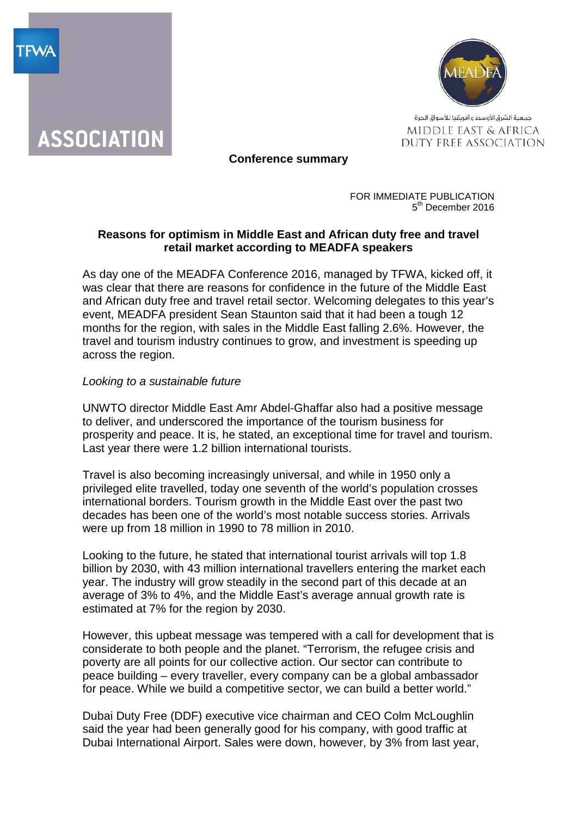



**Conference summary**

FOR IMMEDIATE PUBLICATION 5<sup>th</sup> December 2016

# **Reasons for optimism in Middle East and African duty free and travel retail market according to MEADFA speakers**

As day one of the MEADFA Conference 2016, managed by TFWA, kicked off, it was clear that there are reasons for confidence in the future of the Middle East and African duty free and travel retail sector. Welcoming delegates to this year's event, MEADFA president Sean Staunton said that it had been a tough 12 months for the region, with sales in the Middle East falling 2.6%. However, the travel and tourism industry continues to grow, and investment is speeding up across the region.

## *Looking to a sustainable future*

UNWTO director Middle East Amr Abdel-Ghaffar also had a positive message to deliver, and underscored the importance of the tourism business for prosperity and peace. It is, he stated, an exceptional time for travel and tourism. Last year there were 1.2 billion international tourists.

Travel is also becoming increasingly universal, and while in 1950 only a privileged elite travelled, today one seventh of the world's population crosses international borders. Tourism growth in the Middle East over the past two decades has been one of the world's most notable success stories. Arrivals were up from 18 million in 1990 to 78 million in 2010.

Looking to the future, he stated that international tourist arrivals will top 1.8 billion by 2030, with 43 million international travellers entering the market each year. The industry will grow steadily in the second part of this decade at an average of 3% to 4%, and the Middle East's average annual growth rate is estimated at 7% for the region by 2030.

However, this upbeat message was tempered with a call for development that is considerate to both people and the planet. "Terrorism, the refugee crisis and poverty are all points for our collective action. Our sector can contribute to peace building – every traveller, every company can be a global ambassador for peace. While we build a competitive sector, we can build a better world."

Dubai Duty Free (DDF) executive vice chairman and CEO Colm McLoughlin said the year had been generally good for his company, with good traffic at Dubai International Airport. Sales were down, however, by 3% from last year,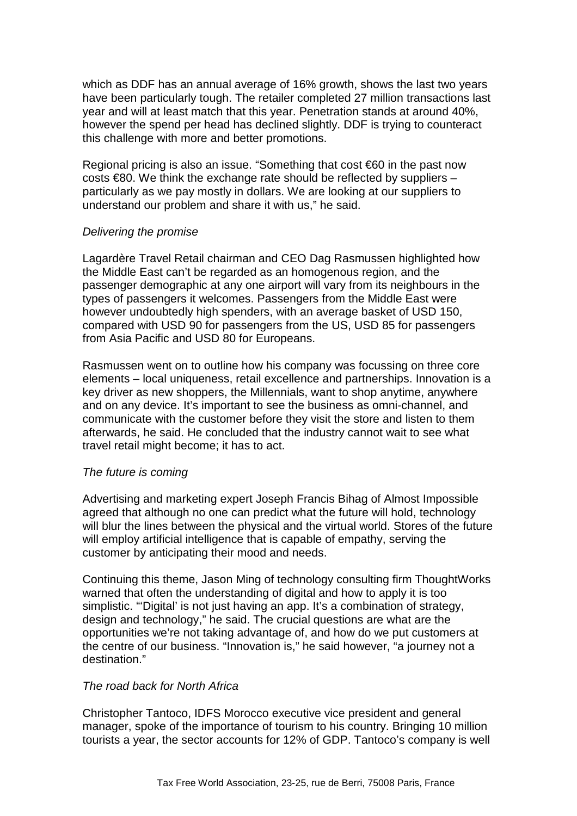which as DDF has an annual average of 16% growth, shows the last two years have been particularly tough. The retailer completed 27 million transactions last year and will at least match that this year. Penetration stands at around 40%, however the spend per head has declined slightly. DDF is trying to counteract this challenge with more and better promotions.

Regional pricing is also an issue. "Something that cost €60 in the past now costs  $\in$ 80. We think the exchange rate should be reflected by suppliers – particularly as we pay mostly in dollars. We are looking at our suppliers to understand our problem and share it with us," he said.

### *Delivering the promise*

Lagardère Travel Retail chairman and CEO Dag Rasmussen highlighted how the Middle East can't be regarded as an homogenous region, and the passenger demographic at any one airport will vary from its neighbours in the types of passengers it welcomes. Passengers from the Middle East were however undoubtedly high spenders, with an average basket of USD 150, compared with USD 90 for passengers from the US, USD 85 for passengers from Asia Pacific and USD 80 for Europeans.

Rasmussen went on to outline how his company was focussing on three core elements – local uniqueness, retail excellence and partnerships. Innovation is a key driver as new shoppers, the Millennials, want to shop anytime, anywhere and on any device. It's important to see the business as omni-channel, and communicate with the customer before they visit the store and listen to them afterwards, he said. He concluded that the industry cannot wait to see what travel retail might become; it has to act.

# *The future is coming*

Advertising and marketing expert Joseph Francis Bihag of Almost Impossible agreed that although no one can predict what the future will hold, technology will blur the lines between the physical and the virtual world. Stores of the future will employ artificial intelligence that is capable of empathy, serving the customer by anticipating their mood and needs.

Continuing this theme, Jason Ming of technology consulting firm ThoughtWorks warned that often the understanding of digital and how to apply it is too simplistic. "'Digital' is not just having an app. It's a combination of strategy, design and technology," he said. The crucial questions are what are the opportunities we're not taking advantage of, and how do we put customers at the centre of our business. "Innovation is," he said however, "a journey not a destination."

### *The road back for North Africa*

Christopher Tantoco, IDFS Morocco executive vice president and general manager, spoke of the importance of tourism to his country. Bringing 10 million tourists a year, the sector accounts for 12% of GDP. Tantoco's company is well